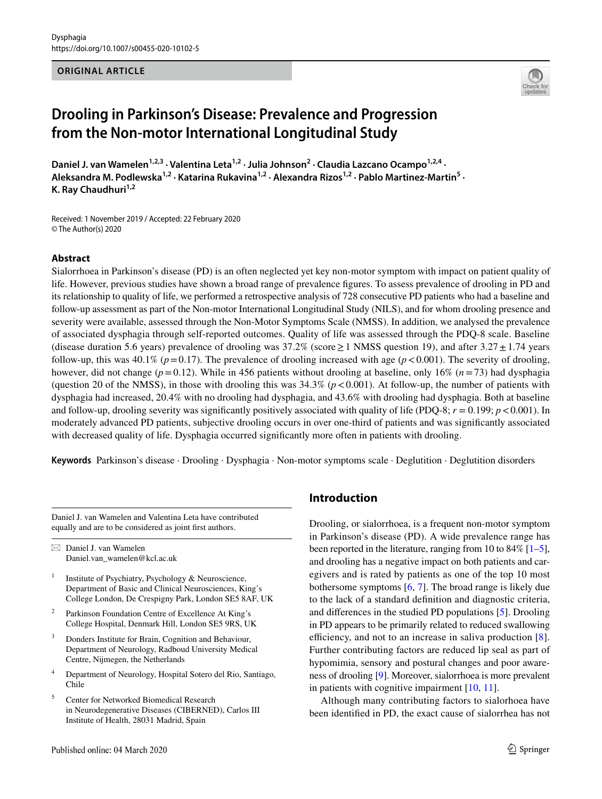#### **ORIGINAL ARTICLE**



# **Drooling in Parkinson's Disease: Prevalence and Progression from the Non‑motor International Longitudinal Study**

Daniel J. van Wamelen<sup>1,2,3</sup> · Valentina Leta<sup>1,2</sup> · Julia Johnson<sup>2</sup> · Claudia Lazcano Ocampo<sup>1,2,4</sup> · Aleksandra M. Podlewska<sup>1,2</sup> · Katarina Rukavina<sup>1,2</sup> · Alexandra Rizos<sup>1,2</sup> · Pablo Martinez-Martin<sup>5</sup> · K. Ray Chaudhuri<sup>1,2</sup>

Received: 1 November 2019 / Accepted: 22 February 2020 © The Author(s) 2020

#### **Abstract**

Sialorrhoea in Parkinson's disease (PD) is an often neglected yet key non-motor symptom with impact on patient quality of life. However, previous studies have shown a broad range of prevalence fgures. To assess prevalence of drooling in PD and its relationship to quality of life, we performed a retrospective analysis of 728 consecutive PD patients who had a baseline and follow-up assessment as part of the Non-motor International Longitudinal Study (NILS), and for whom drooling presence and severity were available, assessed through the Non-Motor Symptoms Scale (NMSS). In addition, we analysed the prevalence of associated dysphagia through self-reported outcomes. Quality of life was assessed through the PDQ-8 scale. Baseline (disease duration 5.6 years) prevalence of drooling was  $37.2\%$  (score  $\geq 1$  NMSS question 19), and after  $3.27 \pm 1.74$  years follow-up, this was 40.1% ( $p=0.17$ ). The prevalence of drooling increased with age ( $p < 0.001$ ). The severity of drooling, however, did not change (*p*=0.12). While in 456 patients without drooling at baseline, only 16% (*n*=73) had dysphagia (question 20 of the NMSS), in those with drooling this was  $34.3\%$  ( $p < 0.001$ ). At follow-up, the number of patients with dysphagia had increased, 20.4% with no drooling had dysphagia, and 43.6% with drooling had dysphagia. Both at baseline and follow-up, drooling severity was significantly positively associated with quality of life (PDQ-8;  $r = 0.199$ ;  $p < 0.001$ ). In moderately advanced PD patients, subjective drooling occurs in over one-third of patients and was signifcantly associated with decreased quality of life. Dysphagia occurred signifcantly more often in patients with drooling.

**Keywords** Parkinson's disease · Drooling · Dysphagia · Non-motor symptoms scale · Deglutition · Deglutition disorders

Daniel J. van Wamelen and Valentina Leta have contributed equally and are to be considered as joint frst authors.

 $\boxtimes$  Daniel J. van Wamelen Daniel.van\_wamelen@kcl.ac.uk

- <sup>1</sup> Institute of Psychiatry, Psychology & Neuroscience, Department of Basic and Clinical Neurosciences, King's College London, De Crespigny Park, London SE5 8AF, UK
- Parkinson Foundation Centre of Excellence At King's College Hospital, Denmark Hill, London SE5 9RS, UK
- <sup>3</sup> Donders Institute for Brain, Cognition and Behaviour, Department of Neurology, Radboud University Medical Centre, Nijmegen, the Netherlands
- <sup>4</sup> Department of Neurology, Hospital Sotero del Rio, Santiago, Chile
- <sup>5</sup> Center for Networked Biomedical Research in Neurodegenerative Diseases (CIBERNED), Carlos III Institute of Health, 28031 Madrid, Spain

# **Introduction**

Drooling, or sialorrhoea, is a frequent non-motor symptom in Parkinson's disease (PD). A wide prevalence range has been reported in the literature, ranging from 10 to  $84\%$  [[1–](#page-5-0)[5](#page-5-1)], and drooling has a negative impact on both patients and caregivers and is rated by patients as one of the top 10 most bothersome symptoms [\[6](#page-5-2), [7](#page-5-3)]. The broad range is likely due to the lack of a standard defnition and diagnostic criteria, and diferences in the studied PD populations [[5\]](#page-5-1). Drooling in PD appears to be primarily related to reduced swallowing efficiency, and not to an increase in saliva production  $[8]$  $[8]$ . Further contributing factors are reduced lip seal as part of hypomimia, sensory and postural changes and poor awareness of drooling [[9\]](#page-5-5). Moreover, sialorrhoea is more prevalent in patients with cognitive impairment [\[10](#page-5-6), [11](#page-5-7)].

Although many contributing factors to sialorhoea have been identifed in PD, the exact cause of sialorrhea has not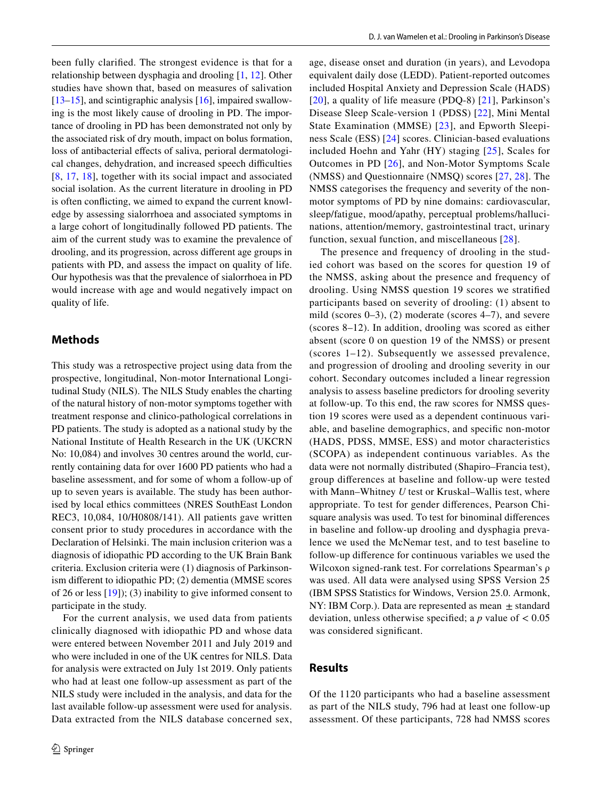been fully clarifed. The strongest evidence is that for a relationship between dysphagia and drooling [[1,](#page-5-0) [12\]](#page-5-8). Other studies have shown that, based on measures of salivation  $[13–15]$  $[13–15]$ , and scintigraphic analysis  $[16]$  $[16]$ , impaired swallowing is the most likely cause of drooling in PD. The importance of drooling in PD has been demonstrated not only by the associated risk of dry mouth, impact on bolus formation, loss of antibacterial effects of saliva, perioral dermatological changes, dehydration, and increased speech difficulties [\[8,](#page-5-4) [17](#page-5-12), [18](#page-5-13)], together with its social impact and associated social isolation. As the current literature in drooling in PD is often conficting, we aimed to expand the current knowledge by assessing sialorrhoea and associated symptoms in a large cohort of longitudinally followed PD patients. The aim of the current study was to examine the prevalence of drooling, and its progression, across diferent age groups in patients with PD, and assess the impact on quality of life. Our hypothesis was that the prevalence of sialorrhoea in PD would increase with age and would negatively impact on quality of life.

# **Methods**

This study was a retrospective project using data from the prospective, longitudinal, Non-motor International Longitudinal Study (NILS). The NILS Study enables the charting of the natural history of non-motor symptoms together with treatment response and clinico-pathological correlations in PD patients. The study is adopted as a national study by the National Institute of Health Research in the UK (UKCRN No: 10,084) and involves 30 centres around the world, currently containing data for over 1600 PD patients who had a baseline assessment, and for some of whom a follow-up of up to seven years is available. The study has been authorised by local ethics committees (NRES SouthEast London REC3, 10,084, 10/H0808/141). All patients gave written consent prior to study procedures in accordance with the Declaration of Helsinki. The main inclusion criterion was a diagnosis of idiopathic PD according to the UK Brain Bank criteria. Exclusion criteria were (1) diagnosis of Parkinsonism diferent to idiopathic PD; (2) dementia (MMSE scores of 26 or less [\[19](#page-6-0)]); (3) inability to give informed consent to participate in the study.

For the current analysis, we used data from patients clinically diagnosed with idiopathic PD and whose data were entered between November 2011 and July 2019 and who were included in one of the UK centres for NILS. Data for analysis were extracted on July 1st 2019. Only patients who had at least one follow-up assessment as part of the NILS study were included in the analysis, and data for the last available follow-up assessment were used for analysis. Data extracted from the NILS database concerned sex,

age, disease onset and duration (in years), and Levodopa equivalent daily dose (LEDD). Patient-reported outcomes included Hospital Anxiety and Depression Scale (HADS) [[20](#page-6-1)], a quality of life measure (PDQ-8) [[21](#page-6-2)], Parkinson's Disease Sleep Scale-version 1 (PDSS) [[22\]](#page-6-3), Mini Mental State Examination (MMSE) [\[23](#page-6-4)], and Epworth Sleepiness Scale (ESS) [[24](#page-6-5)] scores. Clinician-based evaluations included Hoehn and Yahr (HY) staging [[25](#page-6-6)], Scales for Outcomes in PD [[26](#page-6-7)], and Non-Motor Symptoms Scale (NMSS) and Questionnaire (NMSQ) scores [[27](#page-6-8), [28\]](#page-6-9). The NMSS categorises the frequency and severity of the nonmotor symptoms of PD by nine domains: cardiovascular, sleep/fatigue, mood/apathy, perceptual problems/hallucinations, attention/memory, gastrointestinal tract, urinary function, sexual function, and miscellaneous [[28\]](#page-6-9).

The presence and frequency of drooling in the studied cohort was based on the scores for question 19 of the NMSS, asking about the presence and frequency of drooling. Using NMSS question 19 scores we stratifed participants based on severity of drooling: (1) absent to mild (scores 0–3), (2) moderate (scores 4–7), and severe (scores 8–12). In addition, drooling was scored as either absent (score 0 on question 19 of the NMSS) or present (scores 1–12). Subsequently we assessed prevalence, and progression of drooling and drooling severity in our cohort. Secondary outcomes included a linear regression analysis to assess baseline predictors for drooling severity at follow-up. To this end, the raw scores for NMSS question 19 scores were used as a dependent continuous variable, and baseline demographics, and specifc non-motor (HADS, PDSS, MMSE, ESS) and motor characteristics (SCOPA) as independent continuous variables. As the data were not normally distributed (Shapiro–Francia test), group diferences at baseline and follow-up were tested with Mann–Whitney *U* test or Kruskal–Wallis test, where appropriate. To test for gender diferences, Pearson Chisquare analysis was used. To test for binominal diferences in baseline and follow-up drooling and dysphagia prevalence we used the McNemar test, and to test baseline to follow-up diference for continuous variables we used the Wilcoxon signed-rank test. For correlations Spearman's ρ was used. All data were analysed using SPSS Version 25 (IBM SPSS Statistics for Windows, Version 25.0. Armonk, NY: IBM Corp.). Data are represented as mean  $\pm$  standard deviation, unless otherwise specifed; a *p* value of < 0.05 was considered signifcant.

### **Results**

Of the 1120 participants who had a baseline assessment as part of the NILS study, 796 had at least one follow-up assessment. Of these participants, 728 had NMSS scores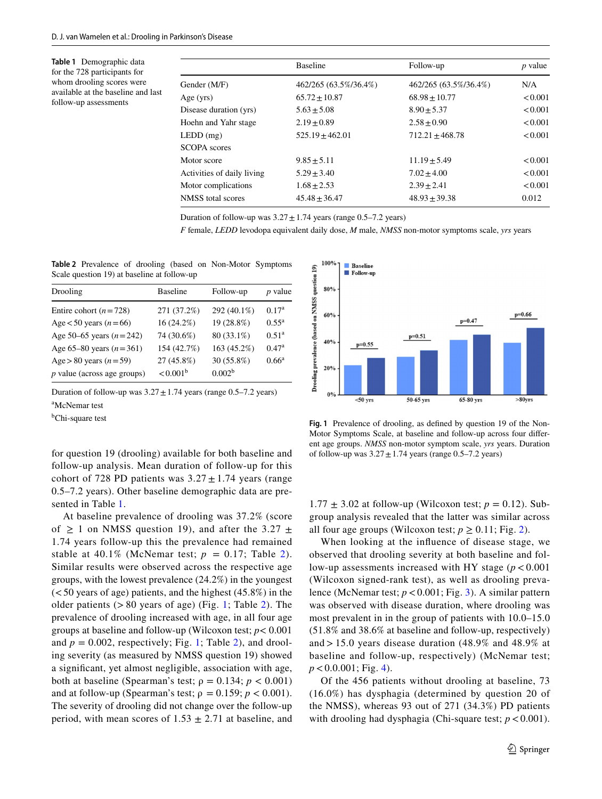<span id="page-2-0"></span>**Table 1** Demographic data for the 728 participants for whom drooling scores were available at the baseline and last follow-up assessments

|                            | <b>Baseline</b>       | Follow-up             | <i>p</i> value |
|----------------------------|-----------------------|-----------------------|----------------|
| Gender (M/F)               | 462/265 (63.5%/36.4%) | 462/265 (63.5%/36.4%) | N/A            |
| Age (yrs)                  | $65.72 \pm 10.87$     | $68.98 \pm 10.77$     | < 0.001        |
| Disease duration (yrs)     | $5.63 \pm 5.08$       | $8.90 \pm 5.37$       | < 0.001        |
| Hoehn and Yahr stage       | $2.19 \pm 0.89$       | $2.58 \pm 0.90$       | < 0.001        |
| LEDD (mg)                  | $525.19 \pm 462.01$   | $712.21 \pm 468.78$   | < 0.001        |
| <b>SCOPA</b> scores        |                       |                       |                |
| Motor score                | $9.85 \pm 5.11$       | $11.19 \pm 5.49$      | < 0.001        |
| Activities of daily living | $5.29 \pm 3.40$       | $7.02 \pm 4.00$       | < 0.001        |
| Motor complications        | $1.68 \pm 2.53$       | $2.39 \pm 2.41$       | < 0.001        |
| NMSS total scores          | $45.48 \pm 36.47$     | $48.93 \pm 39.38$     | 0.012          |

Duration of follow-up was  $3.27 \pm 1.74$  years (range 0.5–7.2 years)

*F* female, *LEDD* levodopa equivalent daily dose, *M* male, *NMSS* non-motor symptoms scale, *yrs* years

<span id="page-2-1"></span>**Table 2** Prevalence of drooling (based on Non-Motor Symptoms Scale question 19) at baseline at follow-up

| Drooling                      | <b>Baseline</b>   | Follow-up          | $p$ value         |
|-------------------------------|-------------------|--------------------|-------------------|
| Entire cohort ( $n = 728$ )   | 271 (37.2%)       | 292 (40.1%)        | 0.17 <sup>a</sup> |
| Age $< 50$ years ( $n = 66$ ) | 16(24.2%)         | 19 (28.8%)         | $0.55^{\rm a}$    |
| Age 50–65 years $(n=242)$     | 74 (30.6%)        | 80 (33.1%)         | 0.51 <sup>a</sup> |
| Age 65–80 years $(n=361)$     | 154 (42.7%)       | 163 (45.2%)        | 0.47 <sup>a</sup> |
| Age > 80 years $(n=59)$       | 27 (45.8%)        | 30 (55.8%)         | $0.66^{\rm a}$    |
| $p$ value (across age groups) | $< 0.001^{\rm b}$ | 0.002 <sup>b</sup> |                   |

Duration of follow-up was  $3.27 \pm 1.74$  years (range 0.5–7.2 years) a McNemar test

<sup>b</sup>Chi-square test

for question 19 (drooling) available for both baseline and follow-up analysis. Mean duration of follow-up for this cohort of 728 PD patients was  $3.27 \pm 1.74$  years (range

0.5–7.2 years). Other baseline demographic data are pre-

sented in Table [1](#page-2-0). At baseline prevalence of drooling was 37.2% (score of  $\geq$  1 on NMSS question 19), and after the 3.27  $\pm$ 1.74 years follow-up this the prevalence had remained stable at 40.1% (McNemar test;  $p = 0.17$ ; Table [2\)](#page-2-1). Similar results were observed across the respective age groups, with the lowest prevalence (24.2%) in the youngest  $(< 50$  years of age) patients, and the highest  $(45.8\%)$  in the older patients  $(> 80$  years of age) (Fig. [1](#page-2-2); Table [2\)](#page-2-1). The prevalence of drooling increased with age, in all four age groups at baseline and follow-up (Wilcoxon test; *p*< 0.001 and  $p = 0.002$  $p = 0.002$ , respectively; Fig. [1](#page-2-2); Table 2), and drooling severity (as measured by NMSS question 19) showed a signifcant, yet almost negligible, association with age, both at baseline (Spearman's test;  $\rho = 0.134$ ;  $p < 0.001$ ) and at follow-up (Spearman's test;  $\rho = 0.159$ ;  $p < 0.001$ ). The severity of drooling did not change over the follow-up period, with mean scores of  $1.53 \pm 2.71$  at baseline, and



<span id="page-2-2"></span>**Fig. 1** Prevalence of drooling, as defned by question 19 of the Non-Motor Symptoms Scale, at baseline and follow-up across four diferent age groups. *NMSS* non-motor symptom scale, *yrs* years. Duration of follow-up was  $3.27 \pm 1.74$  years (range 0.5–7.2 years)

 $1.77 \pm 3.02$  at follow-up (Wilcoxon test;  $p = 0.12$ ). Subgroup analysis revealed that the latter was similar across all four age groups (Wilcoxon test;  $p \ge 0.11$ ; Fig. [2\)](#page-3-0).

When looking at the infuence of disease stage, we observed that drooling severity at both baseline and follow-up assessments increased with HY stage  $(p < 0.001)$ (Wilcoxon signed-rank test), as well as drooling prevalence (McNemar test; *p*<0.001; Fig. [3\)](#page-3-1). A similar pattern was observed with disease duration, where drooling was most prevalent in in the group of patients with 10.0–15.0 (51.8% and 38.6% at baseline and follow-up, respectively) and > 15.0 years disease duration (48.9% and 48.9% at baseline and follow-up, respectively) (McNemar test;  $p < 0.0001$ ; Fig. [4](#page-3-2)).

Of the 456 patients without drooling at baseline, 73 (16.0%) has dysphagia (determined by question 20 of the NMSS), whereas 93 out of 271 (34.3%) PD patients with drooling had dysphagia (Chi-square test;  $p < 0.001$ ).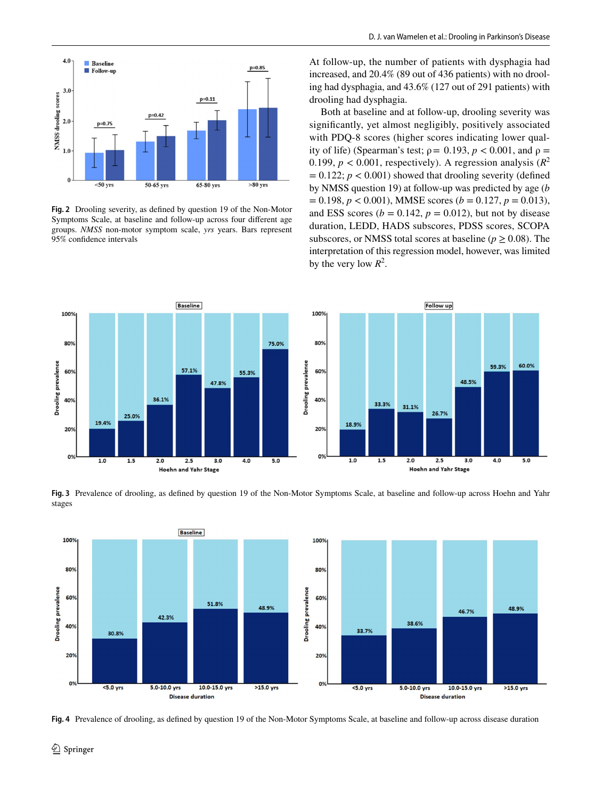

<span id="page-3-0"></span>**Fig. 2** Drooling severity, as defned by question 19 of the Non-Motor Symptoms Scale, at baseline and follow-up across four diferent age groups. *NMSS* non-motor symptom scale, *yrs* years. Bars represent 95% confdence intervals

At follow-up, the number of patients with dysphagia had increased, and 20.4% (89 out of 436 patients) with no drooling had dysphagia, and 43.6% (127 out of 291 patients) with drooling had dysphagia.

Both at baseline and at follow-up, drooling severity was signifcantly, yet almost negligibly, positively associated with PDQ-8 scores (higher scores indicating lower quality of life) (Spearman's test;  $\rho = 0.193$ ,  $p < 0.001$ , and  $\rho =$ 0.199,  $p < 0.001$ , respectively). A regression analysis ( $R^2$ )  $= 0.122$ ;  $p < 0.001$ ) showed that drooling severity (defined by NMSS question 19) at follow-up was predicted by age (*b*  $= 0.198, p < 0.001$ , MMSE scores ( $b = 0.127, p = 0.013$ ), and ESS scores ( $b = 0.142$ ,  $p = 0.012$ ), but not by disease duration, LEDD, HADS subscores, PDSS scores, SCOPA subscores, or NMSS total scores at baseline ( $p \ge 0.08$ ). The interpretation of this regression model, however, was limited by the very low  $R^2$ .



<span id="page-3-1"></span>**Fig. 3** Prevalence of drooling, as defned by question 19 of the Non-Motor Symptoms Scale, at baseline and follow-up across Hoehn and Yahr stages



<span id="page-3-2"></span>**Fig. 4** Prevalence of drooling, as defned by question 19 of the Non-Motor Symptoms Scale, at baseline and follow-up across disease duration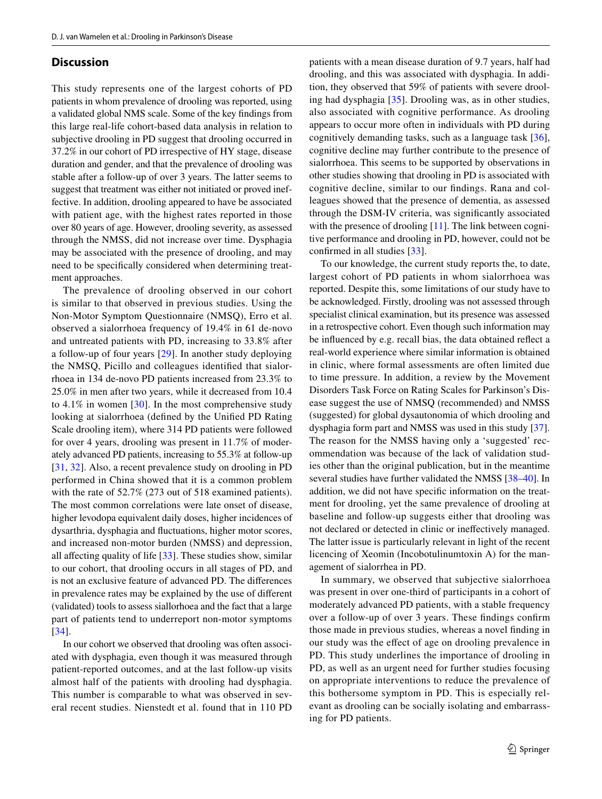#### **Discussion**

This study represents one of the largest cohorts of PD patients in whom prevalence of drooling was reported, using a validated global NMS scale. Some of the key fndings from this large real-life cohort-based data analysis in relation to subjective drooling in PD suggest that drooling occurred in 37.2% in our cohort of PD irrespective of HY stage, disease duration and gender, and that the prevalence of drooling was stable after a follow-up of over 3 years. The latter seems to suggest that treatment was either not initiated or proved ineffective. In addition, drooling appeared to have be associated with patient age, with the highest rates reported in those over 80 years of age. However, drooling severity, as assessed through the NMSS, did not increase over time. Dysphagia may be associated with the presence of drooling, and may need to be specifcally considered when determining treatment approaches.

The prevalence of drooling observed in our cohort is similar to that observed in previous studies. Using the Non-Motor Symptom Questionnaire (NMSQ), Erro et al. observed a sialorrhoea frequency of 19.4% in 61 de-novo and untreated patients with PD, increasing to 33.8% after a follow-up of four years [[29\]](#page-6-10). In another study deploying the NMSQ, Picillo and colleagues identifed that sialorrhoea in 134 de-novo PD patients increased from 23.3% to 25.0% in men after two years, while it decreased from 10.4 to 4.1% in women  $[30]$  $[30]$ . In the most comprehensive study looking at sialorrhoea (defned by the Unifed PD Rating Scale drooling item), where 314 PD patients were followed for over 4 years, drooling was present in 11.7% of moderately advanced PD patients, increasing to 55.3% at follow-up [\[31,](#page-6-12) [32\]](#page-6-13). Also, a recent prevalence study on drooling in PD performed in China showed that it is a common problem with the rate of 52.7% (273 out of 518 examined patients). The most common correlations were late onset of disease, higher levodopa equivalent daily doses, higher incidences of dysarthria, dysphagia and fuctuations, higher motor scores, and increased non-motor burden (NMSS) and depression, all affecting quality of life  $[33]$  $[33]$ . These studies show, similar to our cohort, that drooling occurs in all stages of PD, and is not an exclusive feature of advanced PD. The diferences in prevalence rates may be explained by the use of diferent (validated) tools to assess siallorhoea and the fact that a large part of patients tend to underreport non-motor symptoms [\[34\]](#page-6-15).

In our cohort we observed that drooling was often associated with dysphagia, even though it was measured through patient-reported outcomes, and at the last follow-up visits almost half of the patients with drooling had dysphagia. This number is comparable to what was observed in several recent studies. Nienstedt et al. found that in 110 PD

patients with a mean disease duration of 9.7 years, half had drooling, and this was associated with dysphagia. In addition, they observed that 59% of patients with severe drooling had dysphagia [\[35\]](#page-6-16). Drooling was, as in other studies, also associated with cognitive performance. As drooling appears to occur more often in individuals with PD during cognitively demanding tasks, such as a language task [\[36](#page-6-17)], cognitive decline may further contribute to the presence of sialorrhoea. This seems to be supported by observations in other studies showing that drooling in PD is associated with cognitive decline, similar to our fndings. Rana and colleagues showed that the presence of dementia, as assessed through the DSM-IV criteria, was signifcantly associated with the presence of drooling [[11\]](#page-5-7). The link between cognitive performance and drooling in PD, however, could not be confrmed in all studies [\[33\]](#page-6-14).

To our knowledge, the current study reports the, to date, largest cohort of PD patients in whom sialorrhoea was reported. Despite this, some limitations of our study have to be acknowledged. Firstly, drooling was not assessed through specialist clinical examination, but its presence was assessed in a retrospective cohort. Even though such information may be infuenced by e.g. recall bias, the data obtained refect a real-world experience where similar information is obtained in clinic, where formal assessments are often limited due to time pressure. In addition, a review by the Movement Disorders Task Force on Rating Scales for Parkinson's Disease suggest the use of NMSQ (recommended) and NMSS (suggested) for global dysautonomia of which drooling and dysphagia form part and NMSS was used in this study [\[37](#page-6-18)]. The reason for the NMSS having only a 'suggested' recommendation was because of the lack of validation studies other than the original publication, but in the meantime several studies have further validated the NMSS [[38–](#page-6-19)[40\]](#page-6-20). In addition, we did not have specifc information on the treatment for drooling, yet the same prevalence of drooling at baseline and follow-up suggests either that drooling was not declared or detected in clinic or inefectively managed. The latter issue is particularly relevant in light of the recent licencing of Xeomin (Incobotulinumtoxin A) for the management of sialorrhea in PD.

In summary, we observed that subjective sialorrhoea was present in over one-third of participants in a cohort of moderately advanced PD patients, with a stable frequency over a follow-up of over 3 years. These fndings confrm those made in previous studies, whereas a novel fnding in our study was the efect of age on drooling prevalence in PD. This study underlines the importance of drooling in PD, as well as an urgent need for further studies focusing on appropriate interventions to reduce the prevalence of this bothersome symptom in PD. This is especially relevant as drooling can be socially isolating and embarrassing for PD patients.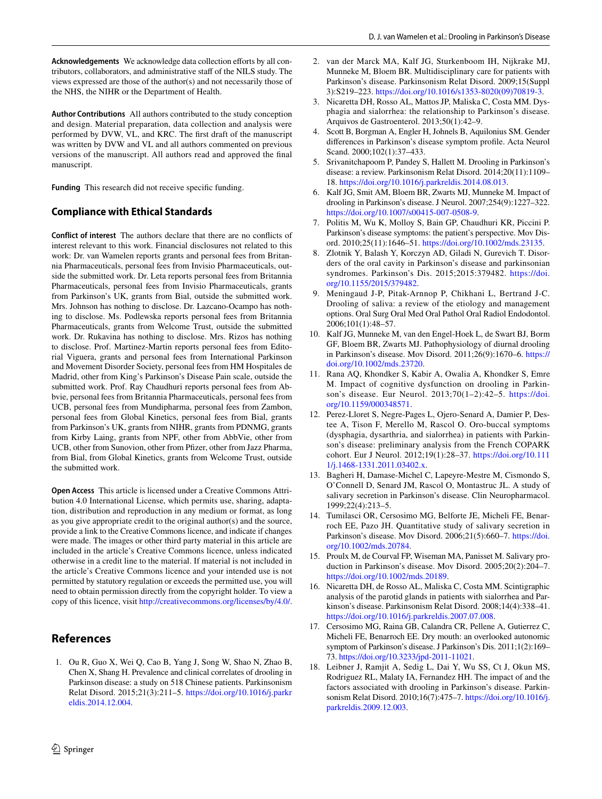Acknowledgements We acknowledge data collection efforts by all contributors, collaborators, and administrative staff of the NILS study. The views expressed are those of the author(s) and not necessarily those of the NHS, the NIHR or the Department of Health.

**Author Contributions** All authors contributed to the study conception and design. Material preparation, data collection and analysis were performed by DVW, VL, and KRC. The frst draft of the manuscript was written by DVW and VL and all authors commented on previous versions of the manuscript. All authors read and approved the fnal manuscript.

Funding This research did not receive specific funding.

#### **Compliance with Ethical Standards**

**Conflict of interest** The authors declare that there are no conficts of interest relevant to this work. Financial disclosures not related to this work: Dr. van Wamelen reports grants and personal fees from Britannia Pharmaceuticals, personal fees from Invisio Pharmaceuticals, outside the submitted work. Dr. Leta reports personal fees from Britannia Pharmaceuticals, personal fees from Invisio Pharmaceuticals, grants from Parkinson's UK, grants from Bial, outside the submitted work. Mrs. Johnson has nothing to disclose. Dr. Lazcano-Ocampo has nothing to disclose. Ms. Podlewska reports personal fees from Britannia Pharmaceuticals, grants from Welcome Trust, outside the submitted work. Dr. Rukavina has nothing to disclose. Mrs. Rizos has nothing to disclose. Prof. Martinez-Martin reports personal fees from Editorial Viguera, grants and personal fees from International Parkinson and Movement Disorder Society, personal fees from HM Hospitales de Madrid, other from King's Parkinson's Disease Pain scale, outside the submitted work. Prof. Ray Chaudhuri reports personal fees from Abbvie, personal fees from Britannia Pharmaceuticals, personal fees from UCB, personal fees from Mundipharma, personal fees from Zambon, personal fees from Global Kinetics, personal fees from Bial, grants from Parkinson's UK, grants from NIHR, grants from PDNMG, grants from Kirby Laing, grants from NPF, other from AbbVie, other from UCB, other from Sunovion, other from Pfizer, other from Jazz Pharma, from Bial, from Global Kinetics, grants from Welcome Trust, outside the submitted work.

**Open Access** This article is licensed under a Creative Commons Attribution 4.0 International License, which permits use, sharing, adaptation, distribution and reproduction in any medium or format, as long as you give appropriate credit to the original author(s) and the source, provide a link to the Creative Commons licence, and indicate if changes were made. The images or other third party material in this article are included in the article's Creative Commons licence, unless indicated otherwise in a credit line to the material. If material is not included in the article's Creative Commons licence and your intended use is not permitted by statutory regulation or exceeds the permitted use, you will need to obtain permission directly from the copyright holder. To view a copy of this licence, visit <http://creativecommons.org/licenses/by/4.0/>.

# **References**

<span id="page-5-0"></span>1. Ou R, Guo X, Wei Q, Cao B, Yang J, Song W, Shao N, Zhao B, Chen X, Shang H. Prevalence and clinical correlates of drooling in Parkinson disease: a study on 518 Chinese patients. Parkinsonism Relat Disord. 2015;21(3):211–5. [https://doi.org/10.1016/j.parkr](https://doi.org/10.1016/j.parkreldis.2014.12.004) [eldis.2014.12.004](https://doi.org/10.1016/j.parkreldis.2014.12.004).

- 2. van der Marck MA, Kalf JG, Sturkenboom IH, Nijkrake MJ, Munneke M, Bloem BR. Multidisciplinary care for patients with Parkinson's disease. Parkinsonism Relat Disord. 2009;15(Suppl 3):S219–223. [https://doi.org/10.1016/s1353-8020\(09\)70819-3](https://doi.org/10.1016/s1353-8020(09)70819-3).
- 3. Nicaretta DH, Rosso AL, Mattos JP, Maliska C, Costa MM. Dysphagia and sialorrhea: the relationship to Parkinson's disease. Arquivos de Gastroenterol. 2013;50(1):42–9.
- 4. Scott B, Borgman A, Engler H, Johnels B, Aquilonius SM. Gender diferences in Parkinson's disease symptom profle. Acta Neurol Scand. 2000:102(1):37-433.
- <span id="page-5-1"></span>5. Srivanitchapoom P, Pandey S, Hallett M. Drooling in Parkinson's disease: a review. Parkinsonism Relat Disord. 2014;20(11):1109– 18.<https://doi.org/10.1016/j.parkreldis.2014.08.013>.
- <span id="page-5-2"></span>6. Kalf JG, Smit AM, Bloem BR, Zwarts MJ, Munneke M. Impact of drooling in Parkinson's disease. J Neurol. 2007;254(9):1227–322. <https://doi.org/10.1007/s00415-007-0508-9>.
- <span id="page-5-3"></span>7. Politis M, Wu K, Molloy S, Bain GP, Chaudhuri KR, Piccini P. Parkinson's disease symptoms: the patient's perspective. Mov Disord. 2010;25(11):1646–51.<https://doi.org/10.1002/mds.23135>.
- <span id="page-5-4"></span>8. Zlotnik Y, Balash Y, Korczyn AD, Giladi N, Gurevich T. Disorders of the oral cavity in Parkinson's disease and parkinsonian syndromes. Parkinson's Dis. 2015;2015:379482. [https://doi.](https://doi.org/10.1155/2015/379482) [org/10.1155/2015/379482.](https://doi.org/10.1155/2015/379482)
- <span id="page-5-5"></span>9. Meningaud J-P, Pitak-Arnnop P, Chikhani L, Bertrand J-C. Drooling of saliva: a review of the etiology and management options. Oral Surg Oral Med Oral Pathol Oral Radiol Endodontol. 2006;101(1):48–57.
- <span id="page-5-6"></span>10. Kalf JG, Munneke M, van den Engel-Hoek L, de Swart BJ, Borm GF, Bloem BR, Zwarts MJ. Pathophysiology of diurnal drooling in Parkinson's disease. Mov Disord. 2011;26(9):1670–6. [https://](https://doi.org/10.1002/mds.23720) [doi.org/10.1002/mds.23720](https://doi.org/10.1002/mds.23720).
- <span id="page-5-7"></span>11. Rana AQ, Khondker S, Kabir A, Owalia A, Khondker S, Emre M. Impact of cognitive dysfunction on drooling in Parkinson's disease. Eur Neurol. 2013;70(1–2):42–5. [https://doi.](https://doi.org/10.1159/000348571) [org/10.1159/000348571.](https://doi.org/10.1159/000348571)
- <span id="page-5-8"></span>12. Perez-Lloret S, Negre-Pages L, Ojero-Senard A, Damier P, Destee A, Tison F, Merello M, Rascol O. Oro-buccal symptoms (dysphagia, dysarthria, and sialorrhea) in patients with Parkinson's disease: preliminary analysis from the French COPARK cohort. Eur J Neurol. 2012;19(1):28–37. [https://doi.org/10.111](https://doi.org/10.1111/j.1468-1331.2011.03402.x) [1/j.1468-1331.2011.03402.x](https://doi.org/10.1111/j.1468-1331.2011.03402.x).
- <span id="page-5-9"></span>13. Bagheri H, Damase-Michel C, Lapeyre-Mestre M, Cismondo S, O'Connell D, Senard JM, Rascol O, Montastruc JL. A study of salivary secretion in Parkinson's disease. Clin Neuropharmacol. 1999;22(4):213–5.
- 14. Tumilasci OR, Cersosimo MG, Belforte JE, Micheli FE, Benarroch EE, Pazo JH. Quantitative study of salivary secretion in Parkinson's disease. Mov Disord. 2006;21(5):660–7. [https://doi.](https://doi.org/10.1002/mds.20784) [org/10.1002/mds.20784](https://doi.org/10.1002/mds.20784).
- <span id="page-5-10"></span>15. Proulx M, de Courval FP, Wiseman MA, Panisset M. Salivary production in Parkinson's disease. Mov Disord. 2005;20(2):204–7. <https://doi.org/10.1002/mds.20189>.
- <span id="page-5-11"></span>16. Nicaretta DH, de Rosso AL, Maliska C, Costa MM. Scintigraphic analysis of the parotid glands in patients with sialorrhea and Parkinson's disease. Parkinsonism Relat Disord. 2008;14(4):338–41. <https://doi.org/10.1016/j.parkreldis.2007.07.008>.
- <span id="page-5-12"></span>17. Cersosimo MG, Raina GB, Calandra CR, Pellene A, Gutierrez C, Micheli FE, Benarroch EE. Dry mouth: an overlooked autonomic symptom of Parkinson's disease. J Parkinson's Dis. 2011;1(2):169– 73. [https://doi.org/10.3233/jpd-2011-11021.](https://doi.org/10.3233/jpd-2011-11021)
- <span id="page-5-13"></span>18. Leibner J, Ramjit A, Sedig L, Dai Y, Wu SS, Ct J, Okun MS, Rodriguez RL, Malaty IA, Fernandez HH. The impact of and the factors associated with drooling in Parkinson's disease. Parkinsonism Relat Disord. 2010;16(7):475–7. [https://doi.org/10.1016/j.](https://doi.org/10.1016/j.parkreldis.2009.12.003) [parkreldis.2009.12.003.](https://doi.org/10.1016/j.parkreldis.2009.12.003)